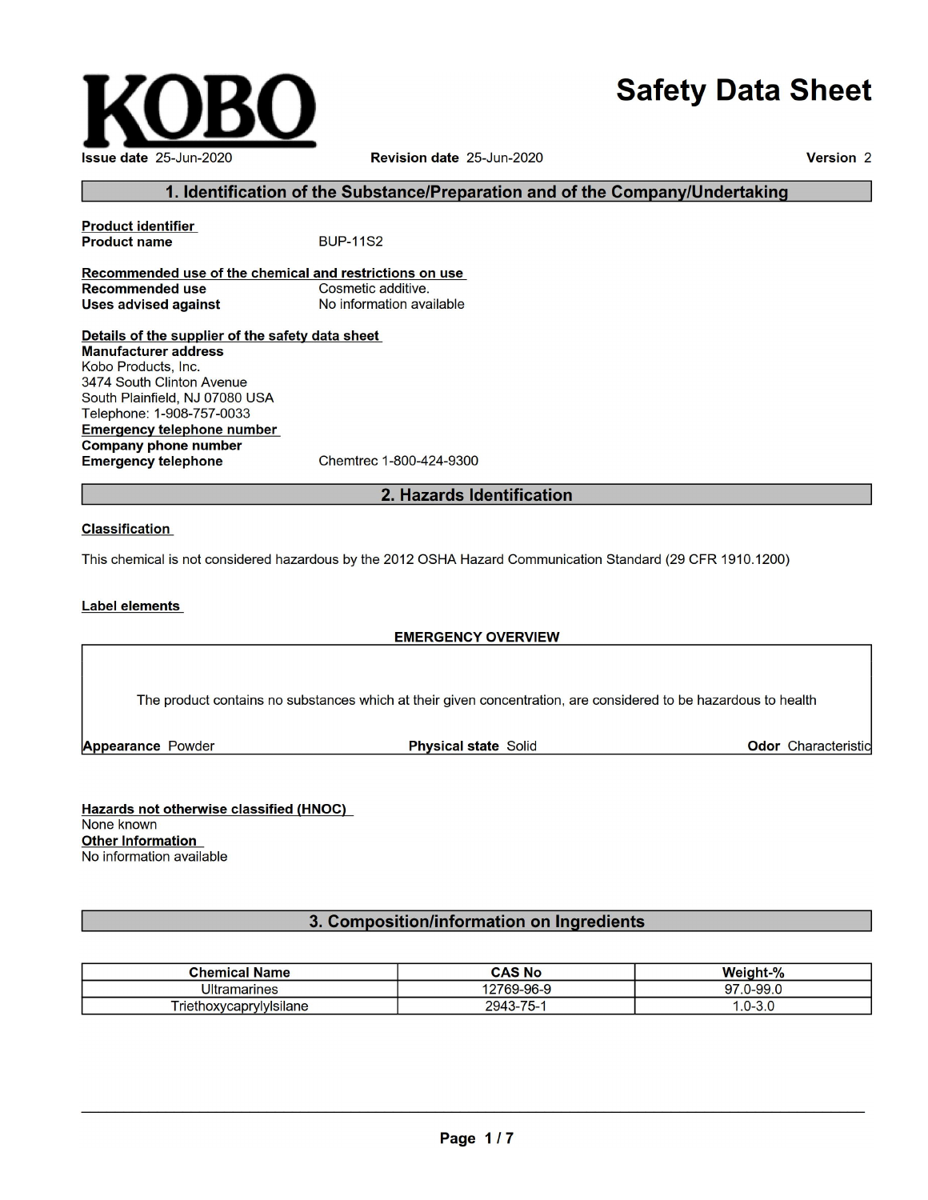# **Safety Data Sheet**



Revision date 25-Jun-2020

Version<sub>2</sub>

# 1. Identification of the Substance/Preparation and of the Company/Undertaking

**Product identifier Product name BUP-11S2** Recommended use of the chemical and restrictions on use **Recommended use** Cosmetic additive. **Uses advised against** No information available Details of the supplier of the safety data sheet **Manufacturer address** 

Kobo Products, Inc. 3474 South Clinton Avenue South Plainfield, NJ 07080 USA Telephone: 1-908-757-0033 **Emergency telephone number Company phone number Emergency telephone** Chemtrec 1-800-424-9300

2. Hazards Identification

#### **Classification**

This chemical is not considered hazardous by the 2012 OSHA Hazard Communication Standard (29 CFR 1910.1200)

#### Label elements

#### **EMERGENCY OVERVIEW**

The product contains no substances which at their given concentration, are considered to be hazardous to health

**Appearance Powder** 

**Physical state Solid** 

Odor Characteristic

Hazards not otherwise classified (HNOC) None known **Other Information** No information available

# 3. Composition/information on Ingredients

| <b>Chemical Name</b>            | <b>CAS No</b> | Weight-%          |
|---------------------------------|---------------|-------------------|
| <b>Ultramarines</b>             | 12769-96-9    | $.0 - 99.0$<br>97 |
| . .<br>l riethoxycaprylylsilane | $2943 - 75 -$ | .U-0.U            |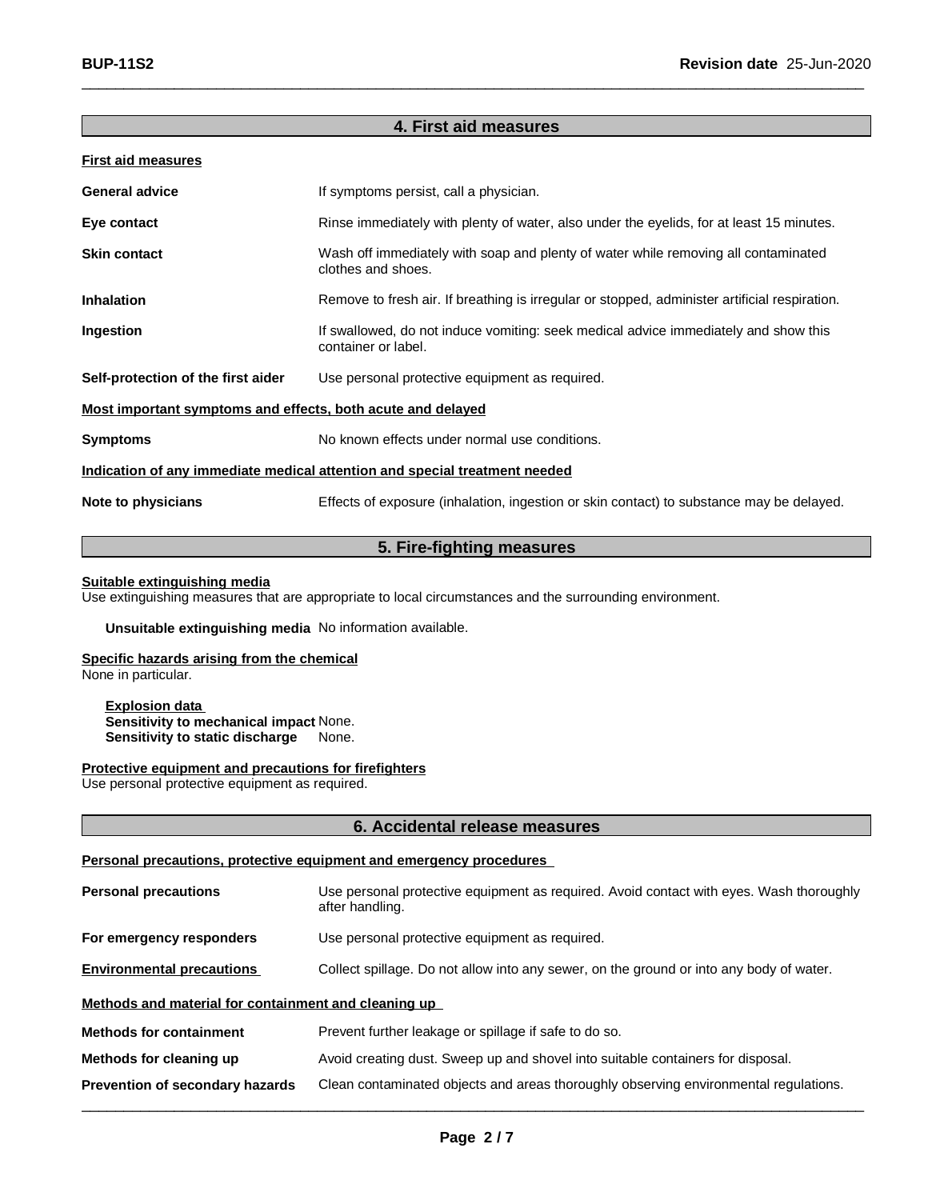# **4. First aid measures**

 $\Box$ 

| <b>First aid measures</b>                                                  |                                                                                                            |  |
|----------------------------------------------------------------------------|------------------------------------------------------------------------------------------------------------|--|
| <b>General advice</b>                                                      | If symptoms persist, call a physician.                                                                     |  |
| Eye contact                                                                | Rinse immediately with plenty of water, also under the eyelids, for at least 15 minutes.                   |  |
| <b>Skin contact</b>                                                        | Wash off immediately with soap and plenty of water while removing all contaminated<br>clothes and shoes.   |  |
| <b>Inhalation</b>                                                          | Remove to fresh air. If breathing is irregular or stopped, administer artificial respiration.              |  |
| Ingestion                                                                  | If swallowed, do not induce vomiting: seek medical advice immediately and show this<br>container or label. |  |
| Self-protection of the first aider                                         | Use personal protective equipment as required.                                                             |  |
| Most important symptoms and effects, both acute and delayed                |                                                                                                            |  |
| <b>Symptoms</b>                                                            | No known effects under normal use conditions.                                                              |  |
| Indication of any immediate medical attention and special treatment needed |                                                                                                            |  |
| Note to physicians                                                         | Effects of exposure (inhalation, ingestion or skin contact) to substance may be delayed.                   |  |
|                                                                            |                                                                                                            |  |

# **5. Fire-fighting measures**

#### **Suitable extinguishing media**

Use extinguishing measures that are appropriate to local circumstances and the surrounding environment.

**Unsuitable extinguishing media** No information available.

#### **Specific hazards arising from the chemical**

None in particular.

**Explosion data Sensitivity to mechanical impact** None. **Sensitivity to static discharge** None.

#### **Protective equipment and precautions for firefighters**

Use personal protective equipment as required.

### **6. Accidental release measures**

#### **Personal precautions, protective equipment and emergency procedures**

| <b>Personal precautions</b>                          | Use personal protective equipment as required. Avoid contact with eyes. Wash thoroughly<br>after handling. |  |
|------------------------------------------------------|------------------------------------------------------------------------------------------------------------|--|
| For emergency responders                             | Use personal protective equipment as required.                                                             |  |
| <b>Environmental precautions</b>                     | Collect spillage. Do not allow into any sewer, on the ground or into any body of water.                    |  |
| Methods and material for containment and cleaning up |                                                                                                            |  |
| <b>Methods for containment</b>                       | Prevent further leakage or spillage if safe to do so.                                                      |  |
| Methods for cleaning up                              | Avoid creating dust. Sweep up and shovel into suitable containers for disposal.                            |  |
| <b>Prevention of secondary hazards</b>               | Clean contaminated objects and areas thoroughly observing environmental regulations.                       |  |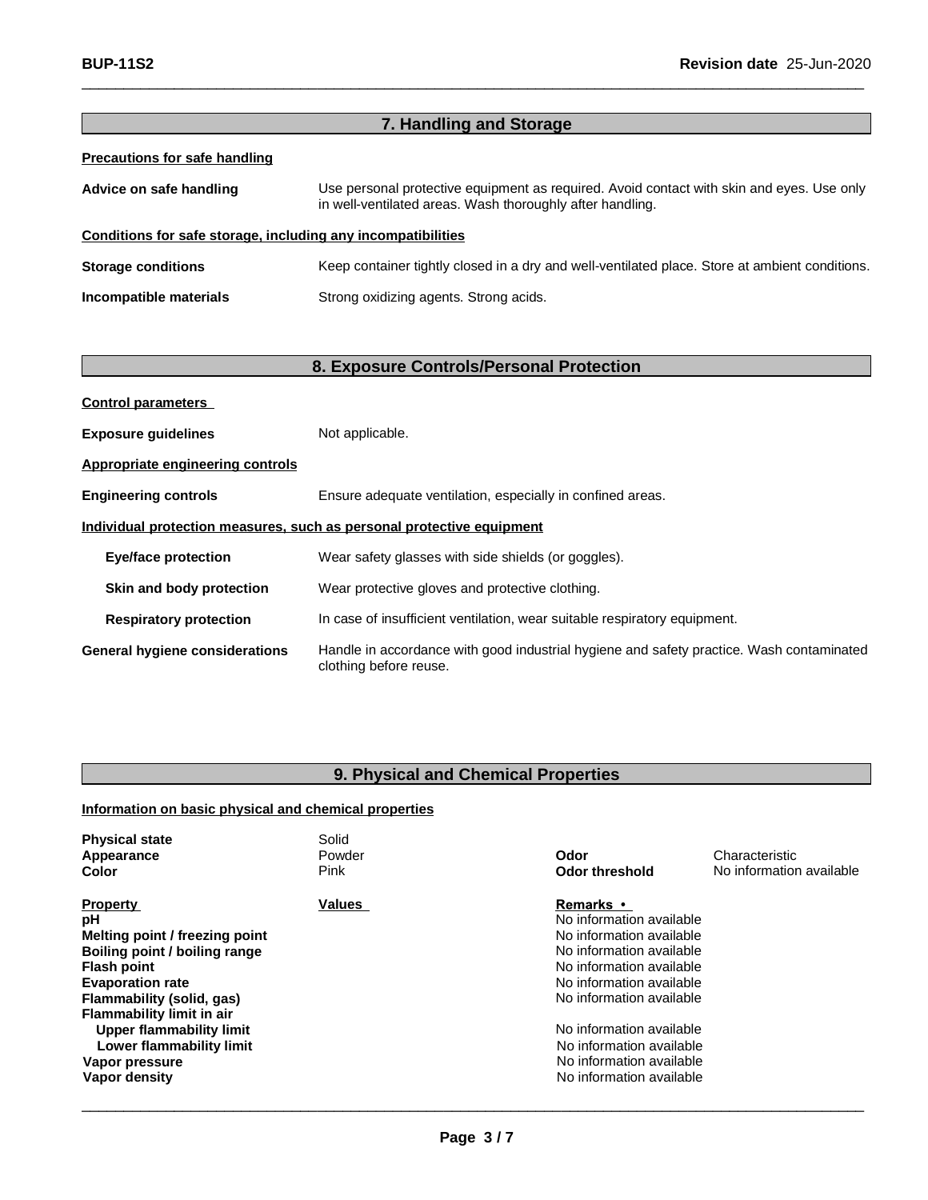| 7. Handling and Storage                                      |                                                                                                                                                        |  |
|--------------------------------------------------------------|--------------------------------------------------------------------------------------------------------------------------------------------------------|--|
| Precautions for safe handling                                |                                                                                                                                                        |  |
| Advice on safe handling                                      | Use personal protective equipment as required. Avoid contact with skin and eyes. Use only<br>in well-ventilated areas. Wash thoroughly after handling. |  |
| Conditions for safe storage, including any incompatibilities |                                                                                                                                                        |  |
| <b>Storage conditions</b>                                    | Keep container tightly closed in a dry and well-ventilated place. Store at ambient conditions.                                                         |  |
| Incompatible materials                                       | Strong oxidizing agents. Strong acids.                                                                                                                 |  |
|                                                              |                                                                                                                                                        |  |

 $\Box$ 

# **8. Exposure Controls/Personal Protection**

| <b>Control parameters</b>             |                                                                                                                    |
|---------------------------------------|--------------------------------------------------------------------------------------------------------------------|
| <b>Exposure guidelines</b>            | Not applicable.                                                                                                    |
| Appropriate engineering controls      |                                                                                                                    |
| <b>Engineering controls</b>           | Ensure adequate ventilation, especially in confined areas.                                                         |
|                                       | Individual protection measures, such as personal protective equipment                                              |
| <b>Eye/face protection</b>            | Wear safety glasses with side shields (or goggles).                                                                |
| Skin and body protection              | Wear protective gloves and protective clothing.                                                                    |
| <b>Respiratory protection</b>         | In case of insufficient ventilation, wear suitable respiratory equipment.                                          |
| <b>General hygiene considerations</b> | Handle in accordance with good industrial hygiene and safety practice. Wash contaminated<br>clothing before reuse. |

# **9. Physical and Chemical Properties**

# **Information on basic physical and chemical properties**

| <b>Physical state</b>          | Solid         |                          |                          |
|--------------------------------|---------------|--------------------------|--------------------------|
| Appearance                     | Powder        | Odor                     | Characteristic           |
| <b>Color</b>                   | Pink          | <b>Odor threshold</b>    | No information available |
| <b>Property</b>                | <b>Values</b> | <b>Remarks</b> •         |                          |
| рH                             |               | No information available |                          |
| Melting point / freezing point |               | No information available |                          |
| Boiling point / boiling range  |               | No information available |                          |
| <b>Flash point</b>             |               | No information available |                          |
| <b>Evaporation rate</b>        |               | No information available |                          |
| Flammability (solid, gas)      |               | No information available |                          |
| Flammability limit in air      |               |                          |                          |
| Upper flammability limit       |               | No information available |                          |
| Lower flammability limit       |               | No information available |                          |
| Vapor pressure                 |               | No information available |                          |
| Vapor density                  |               | No information available |                          |
|                                |               |                          |                          |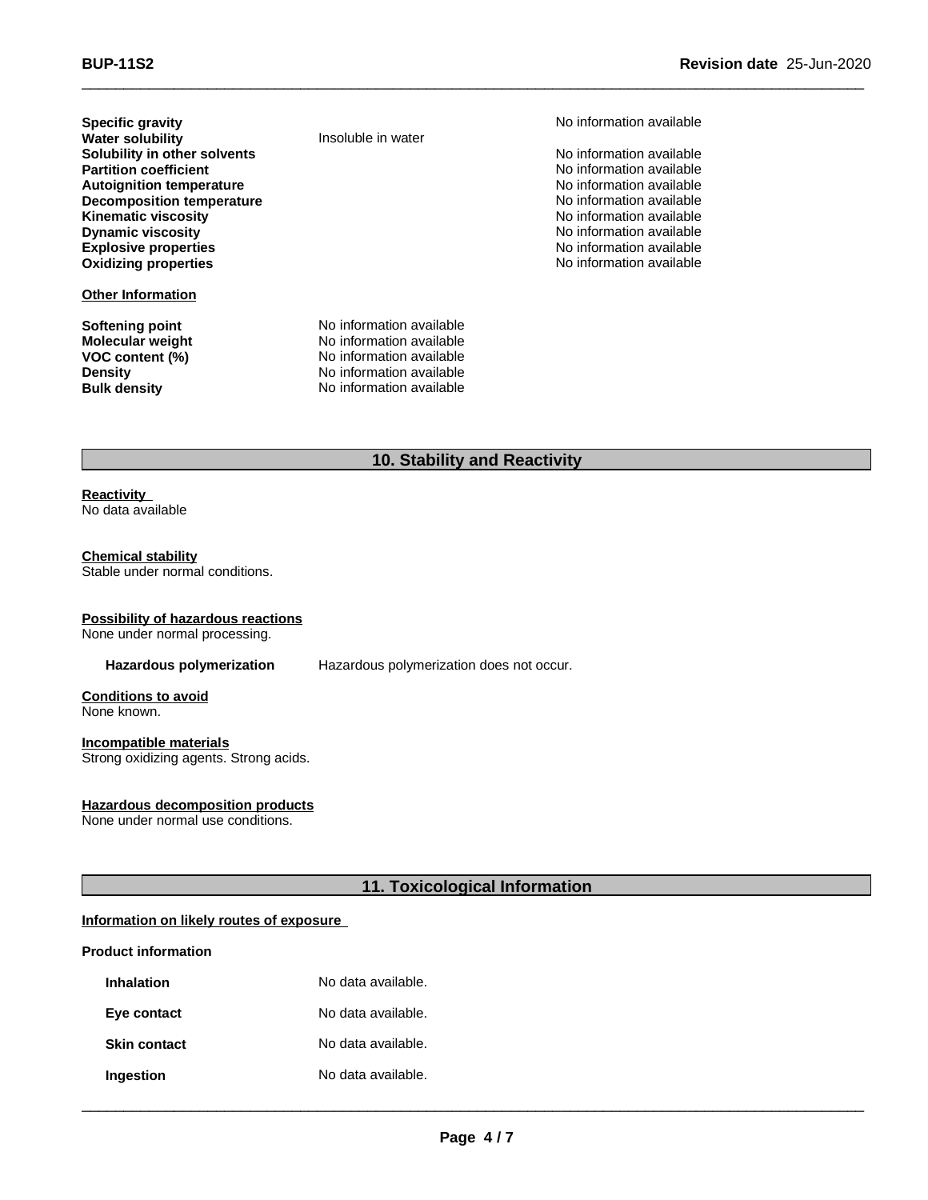**Specific gravity**<br> **Specific gravity** Monitor available<br> **Water solubility Noting the Specific Specific Specific Specific Specific Specific Specific Specific Specific Specific Specific Specific Specific Specific Specifi Water solubility Solubility in other solvents**<br> **Partition coefficient**<br> **Partition coefficient**<br> **No** information available **Partition coefficient**<br> **Partition coefficient**<br> **Autoignition temperature**<br> **Autoignition temperature Autoignition temperature**<br> **Decomposition temperature** No information available<br>
No information available **Decomposition temperature**<br>Kinematic viscosity **Kinematic viscosity**<br> **Community** Dynamic viscosity<br> **Community** Dynamic viscosity<br>
No information available **Explosive properties Explosive properties No information available Oxidizing properties No information available** 

#### **Other Information**

**Softening point No information available**<br> **Molecular weight No information available Molecular weight** 

**No information available** 

**VOC content (%)** No information available **Density** No information available **Bulk density** No information available

# **10. Stability and Reactivity**

 $\Box$ 

#### **Reactivity** No data available

# **Chemical stability**

Stable under normal conditions.

#### **Possibility of hazardous reactions**

None under normal processing.

**Hazardous polymerization** Hazardous polymerization does not occur.

**Conditions to avoid** None known.

#### **Incompatible materials** Strong oxidizing agents. Strong acids.

#### **Hazardous decomposition products**

None under normal use conditions.

#### **11. Toxicological Information**

#### **Information on likely routes of exposure**

#### **Product information**

| <b>Inhalation</b>   | No data available. |
|---------------------|--------------------|
| Eye contact         | No data available. |
| <b>Skin contact</b> | No data available. |
| Ingestion           | No data available. |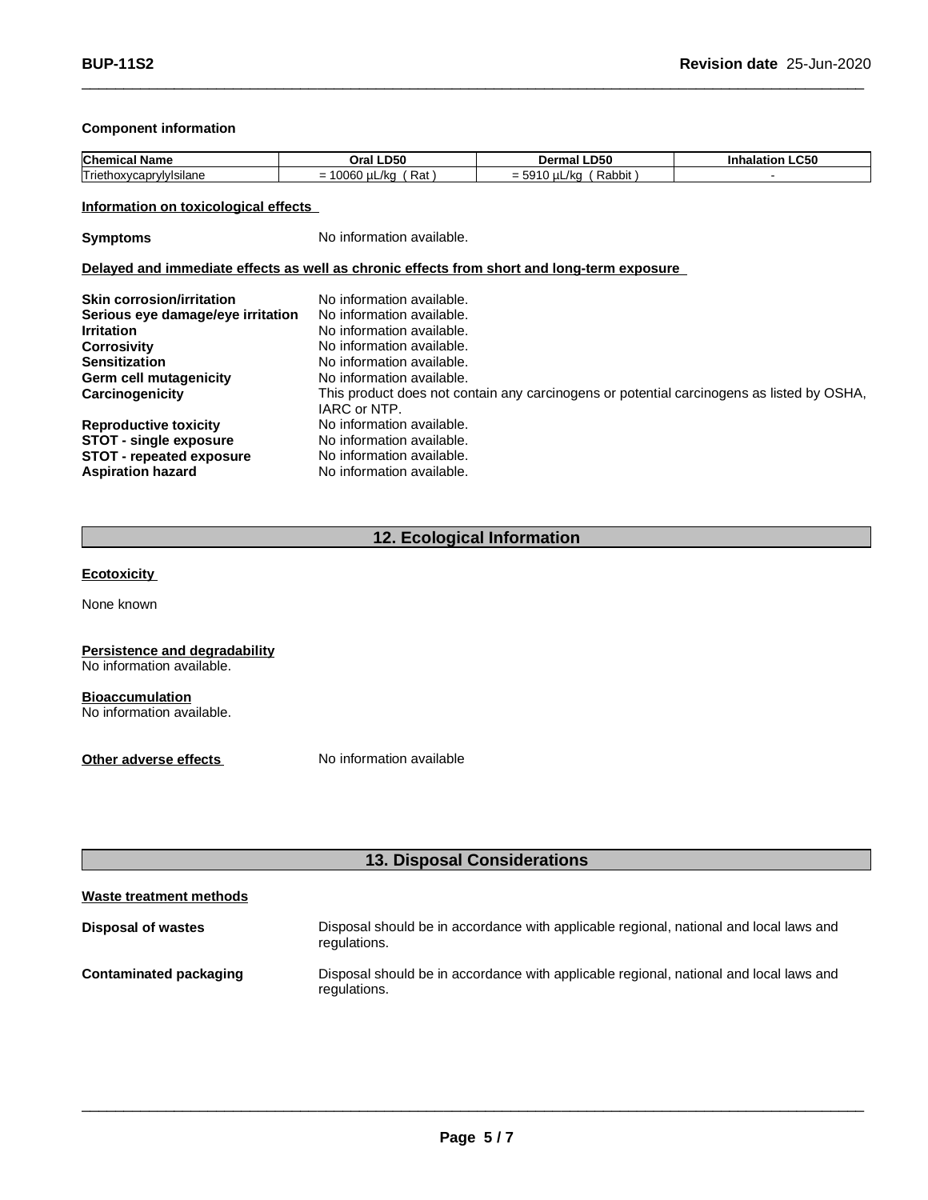#### **Component information**

| Chen<br>Name                                | .D50<br>.Jr?       | <b>DPC</b><br>Dermal<br>.D50   | LC50<br>11411 |
|---------------------------------------------|--------------------|--------------------------------|---------------|
| $-$<br>⊴Isilane<br>Triethoxy<br>vw<br>'Gabi | 0060<br>Rat<br>/kc | -- - -<br>/kc<br>Rabbit<br>= . |               |

 $\Box$ 

#### **Information on toxicological effects**

**Symptoms** No information available.

#### **Delayed and immediate effects as well as chronic effects from short and long-term exposure**

| <b>Skin corrosion/irritation</b>  | No information available.                                                                                 |
|-----------------------------------|-----------------------------------------------------------------------------------------------------------|
| Serious eye damage/eye irritation | No information available.                                                                                 |
| <b>Irritation</b>                 | No information available.                                                                                 |
| Corrosivity                       | No information available.                                                                                 |
| <b>Sensitization</b>              | No information available.                                                                                 |
| <b>Germ cell mutagenicity</b>     | No information available.                                                                                 |
| Carcinogenicity                   | This product does not contain any carcinogens or potential carcinogens as listed by OSHA,<br>IARC or NTP. |
| <b>Reproductive toxicity</b>      | No information available.                                                                                 |
| <b>STOT - single exposure</b>     | No information available.                                                                                 |
| <b>STOT - repeated exposure</b>   | No information available.                                                                                 |
| <b>Aspiration hazard</b>          | No information available.                                                                                 |

# **12. Ecological Information**

**Ecotoxicity**

None known

#### **Persistence and degradability** No information available.

**Bioaccumulation** No information available.

**Other adverse effects** No information available

# **13. Disposal Considerations**

| Waste treatment methods |                                                                                                        |
|-------------------------|--------------------------------------------------------------------------------------------------------|
| Disposal of wastes      | Disposal should be in accordance with applicable regional, national and local laws and<br>regulations. |
| Contaminated packaging  | Disposal should be in accordance with applicable regional, national and local laws and<br>regulations. |

 $\Box$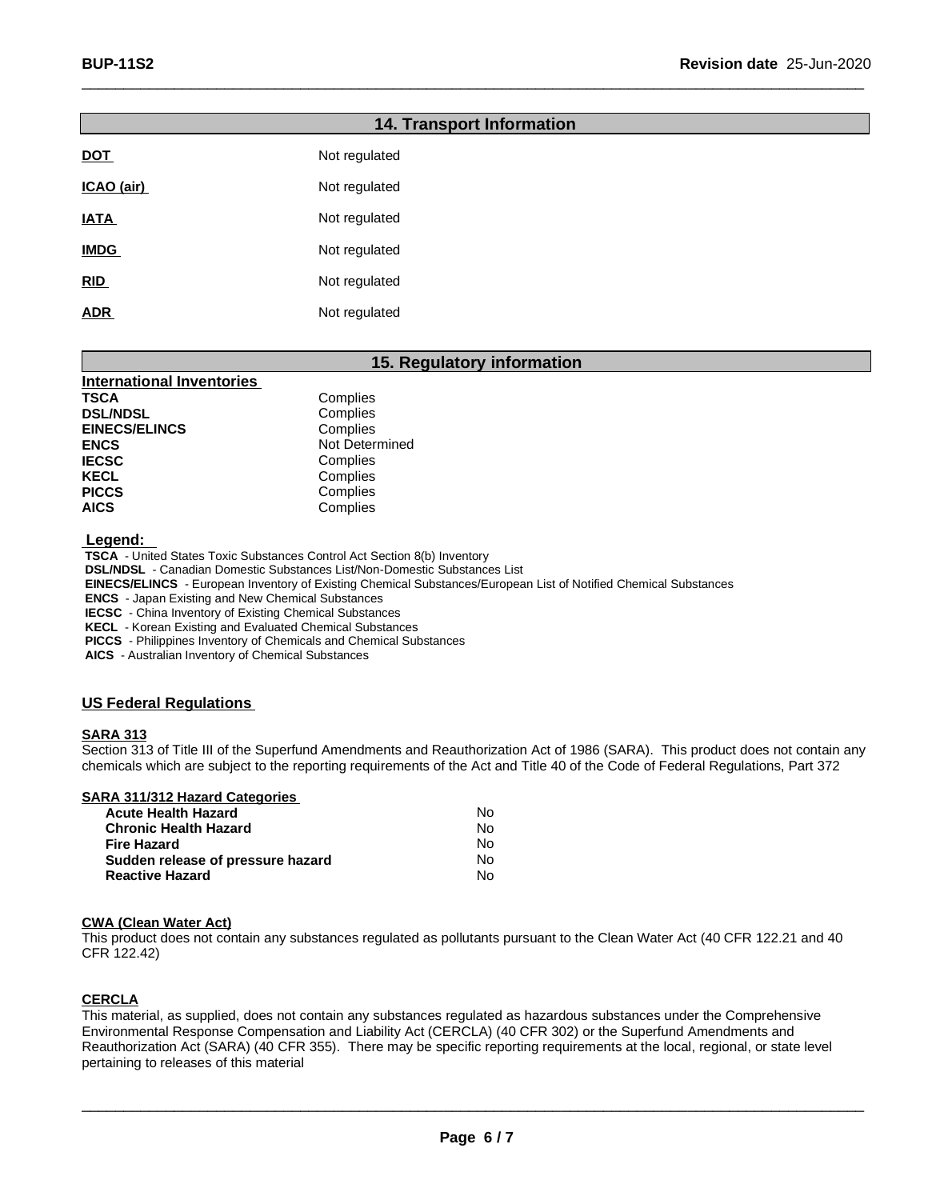| <b>14. Transport Information</b> |               |  |
|----------------------------------|---------------|--|
| <b>DOT</b>                       | Not regulated |  |
| ICAO (air)                       | Not regulated |  |
| <b>IATA</b>                      | Not regulated |  |
| <b>IMDG</b>                      | Not regulated |  |
| RID                              | Not regulated |  |
| <b>ADR</b>                       | Not regulated |  |

 $\Box$ 

#### **15. Regulatory information**

| <b>International Inventories</b> |                |
|----------------------------------|----------------|
| TSCA                             | Complies       |
| <b>DSL/NDSL</b>                  | Complies       |
| <b>EINECS/ELINCS</b>             | Complies       |
| <b>ENCS</b>                      | Not Determined |
| <b>IECSC</b>                     | Complies       |
| <b>KECL</b>                      | Complies       |
| <b>PICCS</b>                     | Complies       |
| <b>AICS</b>                      | Complies       |

 **Legend:**

 **TSCA** - United States Toxic Substances Control Act Section 8(b) Inventory

 **DSL/NDSL** - Canadian Domestic Substances List/Non-Domestic Substances List

 **EINECS/ELINCS** - European Inventory of Existing Chemical Substances/European List of Notified Chemical Substances

 **ENCS** - Japan Existing and New Chemical Substances

 **IECSC** - China Inventory of Existing Chemical Substances

 **KECL** - Korean Existing and Evaluated Chemical Substances

 **PICCS** - Philippines Inventory of Chemicals and Chemical Substances

 **AICS** - Australian Inventory of Chemical Substances

#### **US Federal Regulations**

#### **SARA 313**

Section 313 of Title III of the Superfund Amendments and Reauthorization Act of 1986 (SARA). This product does not contain any chemicals which are subject to the reporting requirements of the Act and Title 40 of the Code of Federal Regulations, Part 372

|  |  |  |  | <b>SARA 311/312 Hazard Categories</b> |  |
|--|--|--|--|---------------------------------------|--|
|--|--|--|--|---------------------------------------|--|

| <b>Acute Health Hazard</b>        | N٥ |
|-----------------------------------|----|
| <b>Chronic Health Hazard</b>      | Nο |
| <b>Fire Hazard</b>                | N٥ |
| Sudden release of pressure hazard | N٥ |
| <b>Reactive Hazard</b>            | Nο |

#### **CWA (Clean Water Act)**

This product does not contain any substances regulated as pollutants pursuant to the Clean Water Act (40 CFR 122.21 and 40 CFR 122.42)

#### **CERCLA**

This material, as supplied, does not contain any substances regulated as hazardous substances under the Comprehensive Environmental Response Compensation and Liability Act (CERCLA) (40 CFR 302) or the Superfund Amendments and Reauthorization Act (SARA) (40 CFR 355). There may be specific reporting requirements at the local, regional, or state level pertaining to releases of this material